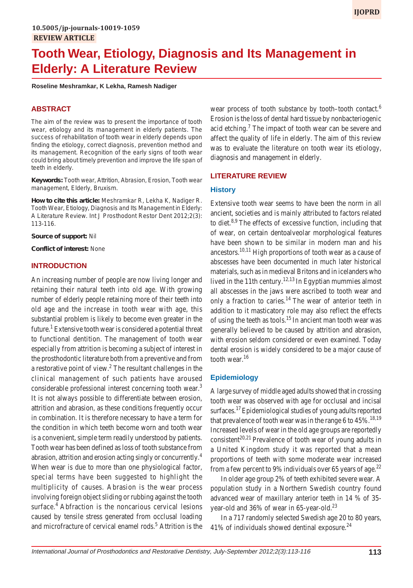# **Tooth Wear, Etiology, Diagnosis and Its Management in Elderly: A Literature Review**

**Roseline Meshramkar, K Lekha, Ramesh Nadiger**

## **ABSTRACT**

The aim of the review was to present the importance of tooth wear, etiology and its management in elderly patients. The success of rehabilitation of tooth wear in elderly depends upon finding the etiology, correct diagnosis, prevention method and its management. Recognition of the early signs of tooth wear could bring about timely prevention and improve the life span of teeth in elderly.

**Keywords:** Tooth wear, Attrition, Abrasion, Erosion, Tooth wear management, Elderly, Bruxism.

**How to cite this article:** Meshramkar R, Lekha K, Nadiger R. Tooth Wear, Etiology, Diagnosis and Its Management in Elderly: A Literature Review. Int J Prosthodont Restor Dent 2012;2(3): 113-116.

**Source of support:** Nil

**Conflict of interest:** None

#### **INTRODUCTION**

An increasing number of people are now living longer and retaining their natural teeth into old age. With growing number of elderly people retaining more of their teeth into old age and the increase in tooth wear with age, this substantial problem is likely to become even greater in the future.<sup>1</sup> Extensive tooth wear is considered a potential threat to functional dentition. The management of tooth wear especially from attrition is becoming a subject of interest in the prosthodontic literature both from a preventive and from a restorative point of view.<sup>2</sup> The resultant challenges in the clinical management of such patients have aroused considerable professional interest concerning tooth wear.<sup>3</sup> It is not always possible to differentiate between erosion, attrition and abrasion, as these conditions frequently occur in combination. It is therefore necessary to have a term for the condition in which teeth become worn and tooth wear is a convenient, simple term readily understood by patients. Tooth wear has been defined as loss of tooth substance from abrasion, attrition and erosion acting singly or concurrently.4 When wear is due to more than one physiological factor, special terms have been suggested to highlight the multiplicity of causes. Abrasion is the wear process involving foreign object sliding or rubbing against the tooth surface.<sup>4</sup> Abfraction is the noncarious cervical lesions caused by tensile stress generated from occlusal loading and microfracture of cervical enamel rods.<sup>5</sup> Attrition is the

wear process of tooth substance by tooth–tooth contact.<sup>6</sup> Erosion is the loss of dental hard tissue by nonbacteriogenic acid etching.<sup>7</sup> The impact of tooth wear can be severe and affect the quality of life in elderly. The aim of this review was to evaluate the literature on tooth wear its etiology, diagnosis and management in elderly.

#### **LITERATURE REVIEW**

#### **History**

Extensive tooth wear seems to have been the norm in all ancient, societies and is mainly attributed to factors related to diet. $8,9$  The effects of excessive function, including that of wear, on certain dentoalveolar morphological features have been shown to be similar in modern man and his ancestors.<sup>10,11</sup> High proportions of tooth wear as a cause of abscesses have been documented in much later historical materials, such as in medieval Britons and in icelanders who lived in the 11th century.<sup>12,13</sup> In Egyptian mummies almost all abscesses in the jaws were ascribed to tooth wear and only a fraction to caries.14 The wear of anterior teeth in addition to it masticatory role may also reflect the effects of using the teeth as tools.<sup>15</sup> In ancient man tooth wear was generally believed to be caused by attrition and abrasion, with erosion seldom considered or even examined. Today dental erosion is widely considered to be a major cause of tooth wear.<sup>16</sup>

## **Epidemiology**

A large survey of middle aged adults showed that in crossing tooth wear was observed with age for occlusal and incisal surfaces.<sup>17</sup> Epidemiological studies of young adults reported that prevalence of tooth wear was in the range 6 to  $45\%$ .<sup>18,19</sup> Increased levels of wear in the old age groups are reportedly consistent<sup>20,21</sup> Prevalence of tooth wear of young adults in a United Kingdom study it was reported that a mean proportions of teeth with some moderate wear increased from a few percent to 9% individuals over 65 years of age.<sup>22</sup>

In older age group 2% of teeth exhibited severe wear. A population study in a Northern Swedish country found advanced wear of maxillary anterior teeth in 14 % of 35 year-old and 36% of wear in 65-year-old.<sup>23</sup>

In a 717 randomly selected Swedish age 20 to 80 years, 41% of individuals showed dentinal exposure. $^{24}$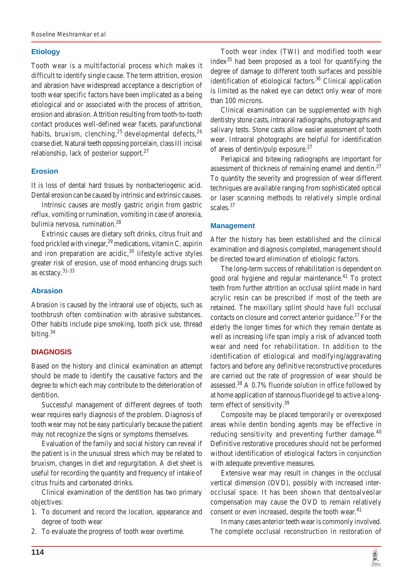## **Etiology**

Tooth wear is a multifactorial process which makes it difficult to identify single cause. The term attrition, erosion and abrasion have widespread acceptance a description of tooth wear specific factors have been implicated as a being etiological and or associated with the process of attrition, erosion and abrasion. Attrition resulting from tooth-to-tooth contact produces well-defined wear facets, parafunctional habits, bruxism, clenching,  $^{25}$  developmental defects,  $^{26}$ coarse diet. Natural teeth opposing porcelain, class III incisal relationship, lack of posterior support.<sup>27</sup>

## **Erosion**

It is loss of dental hard tissues by nonbacteriogenic acid. Dental erosion can be caused by intrinsic and extrinsic causes.

Intrinsic causes are mostly gastric origin from gastric reflux, vomiting or rumination, vomiting in case of anorexia, bulimia nervosa, rumination.<sup>28</sup>

Extrinsic causes are dietary soft drinks, citrus fruit and food prickled with vinegar,  $^{29}$  medications, vitamin C, aspirin and iron preparation are acidic,  $30$  lifestyle active styles greater risk of erosion, use of mood enhancing drugs such as ecstacy.31-33

# **Abrasion**

Abrasion is caused by the intraoral use of objects, such as toothbrush often combination with abrasive substances. Other habits include pipe smoking, tooth pick use, thread biting.<sup>34</sup>

## **DIAGNOSIS**

Based on the history and clinical examination an attempt should be made to identify the causative factors and the degree to which each may contribute to the deterioration of dentition.

Successful management of different degrees of tooth wear requires early diagnosis of the problem. Diagnosis of tooth wear may not be easy particularly because the patient may not recognize the signs or symptoms themselves.

Evaluation of the family and social history can reveal if the patient is in the unusual stress which may be related to bruxism, changes in diet and regurgitation. A diet sheet is useful for recording the quantity and frequency of intake of citrus fruits and carbonated drinks.

Clinical examination of the dentition has two primary objectives:

- 1. To document and record the location, appearance and degree of tooth wear
- 2. To evaluate the progress of tooth wear overtime.

Tooth wear index (TWI) and modified tooth wear index $35$  had been proposed as a tool for quantifying the degree of damage to different tooth surfaces and possible identification of etiological factors.<sup>36</sup> Clinical application is limited as the naked eye can detect only wear of more than 100 microns.

Clinical examination can be supplemented with high dentistry stone casts, intraoral radiographs, photographs and salivary tests. Stone casts allow easier assessment of tooth wear. Intraoral photographs are helpful for identification of areas of dentin/pulp exposure.<sup>27</sup>

Periapical and bitewing radiographs are important for assessment of thickness of remaining enamel and dentin.<sup>27</sup> To quantity the severity and progression of wear different techniques are available ranging from sophisticated optical or laser scanning methods to relatively simple ordinal scales.<sup>37</sup>

## **Management**

After the history has been established and the clinical examination and diagnosis completed, management should be directed toward elimination of etiologic factors.

The long-term success of rehabilitation is dependent on good oral hygiene and regular maintenance.<sup>41</sup> To protect teeth from further attrition an occlusal splint made in hard acrylic resin can be prescribed if most of the teeth are retained. The maxillary splint should have full occlusal contacts on closure and correct anterior guidance.<sup>27</sup> For the elderly the longer times for which they remain dentate as well as increasing life span imply a risk of advanced tooth wear and need for rehabilitation. In addition to the identification of etiological and modifying/aggravating factors and before any definitive reconstructive procedures are carried out the rate of progression of wear should be assessed. $38$  A 0.7% fluoride solution in office followed by at home application of stannous fluoride gel to active a longterm effect of sensitivity.<sup>39</sup>

Composite may be placed temporarily or overexposed areas while dentin bonding agents may be effective in reducing sensitivity and preventing further damage. $40$ Definitive restorative procedures should not be performed without identification of etiological factors in conjunction with adequate preventive measures.

Extensive wear may result in changes in the occlusal vertical dimension (OVD), possibly with increased interocclusal space. It has been shown that dentoalveolar compensation may cause the OVD to remain relatively consent or even increased, despite the tooth wear.<sup>41</sup>

In many cases anterior teeth wear is commonly involved. The complete occlusal reconstruction in restoration of

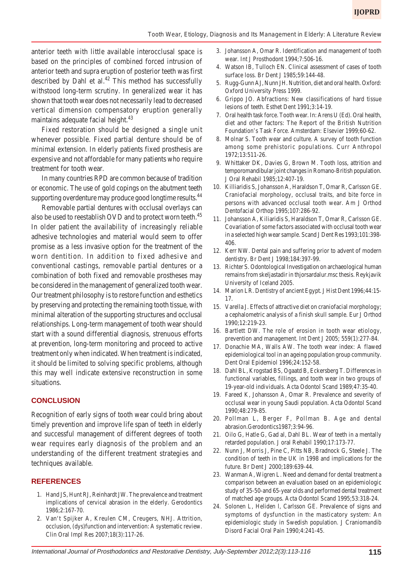anterior teeth with little available interocclusal space is based on the principles of combined forced intrusion of anterior teeth and supra eruption of posterior teeth was first described by Dahl et al.<sup>42</sup> This method has successfully withstood long-term scrutiny. In generalized wear it has shown that tooth wear does not necessarily lead to decreased vertical dimension compensatory eruption generally maintains adequate facial height. $43$ 

Fixed restoration should be designed a single unit whenever possible. Fixed partial denture should be of minimal extension. In elderly patients fixed prosthesis are expensive and not affordable for many patients who require treatment for tooth wear.

In many countries RPD are common because of tradition or economic. The use of gold copings on the abutment teeth supporting overdenture may produce good longtime results.<sup>44</sup>

Removable partial dentures with occlusal overlays can also be used to reestablish OVD and to protect worn teeth.<sup>45</sup> In older patient the availability of increasingly reliable adhesive technologies and material would seem to offer promise as a less invasive option for the treatment of the worn dentition. In addition to fixed adhesive and conventional castings, removable partial dentures or a combination of both fixed and removable prostheses may be considered in the management of generalized tooth wear. Our treatment philosophy is to restore function and esthetics by preserving and protecting the remaining tooth tissue, with minimal alteration of the supporting structures and occlusal relationships. Long-term management of tooth wear should start with a sound differential diagnosis, strenuous efforts at prevention, long-term monitoring and proceed to active treatment only when indicated. When treatment is indicated, it should be limited to solving specific problems, although this may well indicate extensive reconstruction in some situations.

#### **CONCLUSION**

Recognition of early signs of tooth wear could bring about timely prevention and improve life span of teeth in elderly and successful management of different degrees of tooth wear requires early diagnosis of the problem and an understanding of the different treatment strategies and techniques available.

## **REFERENCES**

- 1. Hand JS, Hunt RJ, Reinhardt JW. The prevalence and treatment implications of cervical abrasion in the elderly. Gerodontics 1986;2:167-70.
- 2. Van't Spijker A, Kreulen CM, Creugers, NHJ. Attrition, occlusion, (dys)function and intervention: A systematic review. Clin Oral Impl Res 2007;18(3):117-26.
- 3. Johansson A, Omar R. Identification and management of tooth wear. Int J Prosthodont 1994;7:506-16.
- 4. Watson IB, Tulloch EN. Clinical assessment of cases of tooth surface loss. Br Dent J 1985;59:144-48.
- 5. Rugg-Gunn AJ, Nunn JH. Nutrition, diet and oral health. Oxford: Oxford University Press 1999.
- 6. Grippo JO. Abfractions: New classifications of hard tissue lesions of teeth. Esthet Dent 1991;3:14-19.
- 7. Oral health task force. Tooth wear. In: Arens U (Ed). Oral health, diet and other factors: The Report of the British Nutrition Foundation's Task Force. Amsterdam: Elsevier 1999;60-62.
- 8. Molnar S. Tooth wear and culture. A survey of tooth function among some prehistoric populations. Curr Anthropol 1972;13:511-26.
- 9. Whittaker DK, Davies G, Brown M. Tooth loss, attrition and temporomandibular joint changes in Romano-British population. J Oral Rehabil 1985;12:407-19.
- 10. Killiaridis S, Johansson A, Haraldson T, Omar R, Carlsson GE. Craniofacial morphology, occlusal traits, and bite force in persons with advanced occlusal tooth wear. Am J Orthod Dentofacial Orthop 1995;107:286-92.
- 11. Johansson A, Kiliaridis S, Haraldson T, Omar R, Carlsson GE. Covariation of some factors associated with occlusal tooth wear in a selected high wear sample. Scand J Dent Res 1993;101:398- 406.
- 12. Kerr NW. Dental pain and suffering prior to advent of modern dentistry. Br Dent J 1998;184:397-99.
- 13. Richter S. Odontological Investigation on archaeological human remains from skeljastadir in thjorsardalur.msc thesis. Reykjavik University of Iceland 2005.
- 14. Marion LR. Dentistry of ancient Egypt. J Hist Dent 1996;44:15- 17.
- 15. Varella J. Effects of attractive diet on craniofacial morphology; a cephalometric analysis of a finish skull sample. Eur J Orthod 1990;12:219-23.
- 16. Bartlett DW. The role of erosion in tooth wear etiology, prevention and management. Int Dent J 2005; 559(1):277-84.
- 17. Donachie MA, Walls AW. The tooth wear index: A flawed epidemiological tool in an ageing population group community. Dent Oral Epidemiol 1996;24:152-58.
- 18. Dahl BL, Krogstad BS, Ogaatd B, Eckersberg T. Differences in functional variables, fillings, and tooth wear in two groups of 19-year-old individuals. Acta Odontol Scand 1989;47:35-40.
- 19. Fareed K, Johansson A, Omar R. Prevalence and severity of occlusal wear in young Saudi population. Acta Odontol Scand 1990;48:279-85.
- 20. Pollman L, Berger F, Pollman B. Age and dental abrasion.Gerodontics1987;3:94-96.
- 21. Oilo G, Hatle G, Gad al, Dahl BL. Wear of teeth in a mentally retarded population. J oral Rehabil 1990;17:173-77.
- 22. Nunn J, Morris J, Pine C, Pitts NB, Bradnock G, Steele J. The condition of teeth in the UK in 1998 and implications for the future. Br Dent J 2000;189:639-44.
- 23. Wanman A, Wigren L. Need and demand for dental treatment a comparison between an evaluation based on an epidemiologic study of 35-50-and 65-year olds and performed dental treatment of matched age groups. Acta Odontol Scand 1995;53:318-24.
- 24. Solonen L, Heliden l, Carlsson GE. Prevalence of signs and symptoms of dysfunction in the masticatory system: An epidemiologic study in Swedish population. J Craniomandib Disord Facial Oral Pain 1990;4:241-45.